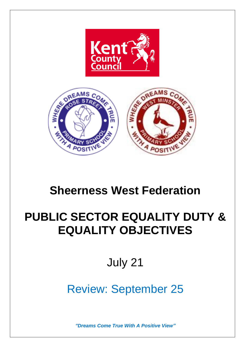



# **Sheerness West Federation**

# **PUBLIC SECTOR EQUALITY DUTY & EQUALITY OBJECTIVES**

July 21

# Review: September 25

*"Dreams Come True With A Positive View"*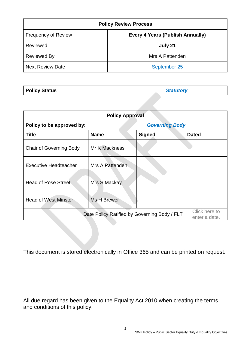| <b>Policy Review Process</b> |                                         |  |  |
|------------------------------|-----------------------------------------|--|--|
| <b>Frequency of Review</b>   | <b>Every 4 Years (Publish Annually)</b> |  |  |
| Reviewed                     | July 21                                 |  |  |
| <b>Reviewed By</b>           | Mrs A Pattenden                         |  |  |
| <b>Next Review Date</b>      | September 25                            |  |  |

| <b>Policy Approval</b>                       |                 |                       |               |                                |  |  |
|----------------------------------------------|-----------------|-----------------------|---------------|--------------------------------|--|--|
| Policy to be approved by:                    |                 | <b>Governing Body</b> |               |                                |  |  |
| <b>Title</b>                                 | <b>Name</b>     |                       | <b>Signed</b> | <b>Dated</b>                   |  |  |
| <b>Chair of Governing Body</b>               | Mr K Mackness   |                       |               |                                |  |  |
| <b>Executive Headteacher</b>                 | Mrs A Pattenden |                       |               |                                |  |  |
| <b>Head of Rose Street</b>                   | Mrs S Mackay    |                       |               |                                |  |  |
| <b>Head of West Minster</b>                  | Ms H Brewer     |                       |               |                                |  |  |
| Date Policy Ratified by Governing Body / FLT |                 |                       |               | Click here to<br>enter a date. |  |  |

This document is stored electronically in Office 365 and can be printed on request.

All due regard has been given to the Equality Act 2010 when creating the terms and conditions of this policy.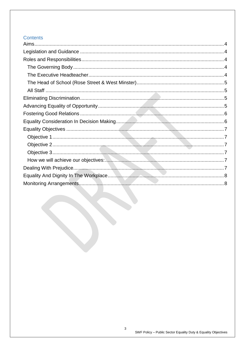## **Contents**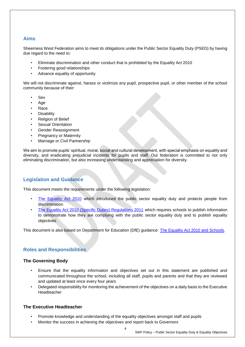## <span id="page-3-0"></span>**Aims**

Sheerness West Federation aims to meet its obligations under the Public Sector Equality Duty (PSED) by having due regard to the need to:

- Eliminate discrimination and other conduct that is prohibited by the Equality Act 2010
- Fostering good relationships
- Advance equality of opportunity

We will not discriminate against, harass or victimize any pupil, prospective pupil, or other member of the school community because of their:

- **Sex**
- Age
- Race
- Disability
- Religion of Belief
- Sexual Orientation
- Gender Reassignment
- Pregnancy or Maternity
- Marriage or Civil Partnership

We aim to promote pupils' spiritual, moral, social and cultural development, with special emphasis on equality and diversity, and eradicating prejudicial incidents for pupils and staff. Our federation is committed to not only eliminating discrimination, but also increasing understanding and appreciation for diversity.

## <span id="page-3-1"></span>**Legislation and Guidance**

This document meets the requirements under the following legislation:

- [The Equality Act 2010](https://www.legislation.gov.uk/ukpga/2010/15/contents) which introduced the public sector equality duty and protects people from discrimination
- [The Equality Act 2010 \(Specific Duties\) Regulations 2011](https://assets.publishing.service.gov.uk/government/uploads/system/uploads/attachment_data/file/85293/Draft-regs.pdf) which requires schools to publish information to demonstrate how they are complying with the public sector equality duty and to publish equality objectives

This document is also based on Department for Education (DfE) guidance: [The Equality Act 2010 and Schools.](https://assets.publishing.service.gov.uk/government/uploads/system/uploads/attachment_data/file/315587/Equality_Act_Advice_Final.pdf)

## <span id="page-3-2"></span>**Roles and Responsibilities**

#### <span id="page-3-3"></span>**The Governing Body**

- Ensure that the equality information and objectives set out in this statement are published and communicated throughout the school, including all staff, pupils and parents and that they are reviewed and updated at least once every four years
- Delegated responsibility for monitoring the achievement of the objectives on a daily basis to the Executive Headteacher

#### <span id="page-3-4"></span>**The Executive Headteacher**

- Promote knowledge and understanding of the equality objectives amongst staff and pupils
- Monitor the success in achieving the objectives and report back to Governors

4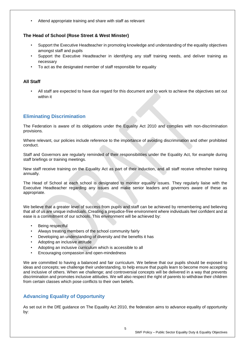Attend appropriate training and share with staff as relevant

#### <span id="page-4-0"></span>**The Head of School (Rose Street & West Minster)**

- Support the Executive Headteacher in promoting knowledge and understanding of the equality objectives amongst staff and pupils
- Support the Executive Headteacher in identifying any staff training needs, and deliver training as necessary
- To act as the designated member of staff responsible for equality

#### <span id="page-4-1"></span>**All Staff**

• All staff are expected to have due regard for this document and to work to achieve the objectives set out within it

## <span id="page-4-2"></span>**Eliminating Discrimination**

The Federation is aware of its obligations under the Equality Act 2010 and complies with non-discrimination provisions.

Where relevant, our policies include reference to the importance of avoiding discrimination and other prohibited conduct.

Staff and Governors are regularly reminded of their responsibilities under the Equality Act, for example during staff briefings or training meetings.

New staff receive training on the Equality Act as part of their induction, and all staff receive refresher training annually.

The Head of School at each school is designated to monitor equality issues. They regularly liaise with the Executive Headteacher regarding any issues and make senior leaders and governors aware of these as appropriate.

We believe that a greater level of success from pupils and staff can be achieved by remembering and believing that all of us are unique individuals. Creating a prejudice-free environment where individuals feel confident and at ease is a commitment of our schools. This environment will be achieved by:

- Being respectful
- Always treating members of the school community fairly
- Developing an understanding of diversity and the benefits it has
- Adopting an inclusive attitude
- Adopting an inclusive curriculum which is accessible to all
- Encouraging compassion and open-mindedness

We are committed to having a balanced and fair curriculum. We believe that our pupils should be exposed to ideas and concepts; we challenge their understanding, to help ensure that pupils learn to become more accepting and inclusive of others. When we challenge; and controversial concepts will be delivered in a way that prevents discrimination and promotes inclusive attitudes. We will also respect the right of parents to withdraw their children from certain classes which pose conflicts to their own beliefs.

## <span id="page-4-3"></span>**Advancing Equality of Opportunity**

As set out in the DfE guidance on The Equality Act 2010, the federation aims to advance equality of opportunity by: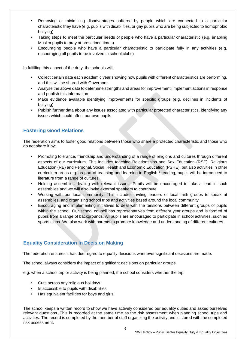- Removing or minimizing disadvantages suffered by people which are connected to a particular characteristic they have (e.g. pupils with disabilities, or gay pupils who are being subjected to homophobic bullying)
- Taking steps to meet the particular needs of people who have a particular characteristic (e.g. enabling Muslim pupils to pray at prescribed times)
- Encouraging people who have a particular characteristic to participate fully in any activities (e.g. encouraging all pupils to be involved in school clubs)

In fulfilling this aspect of the duty, the schools will:

- Collect certain data each academic year showing how pupils with different characteristics are performing, and this will be shared with Governors
- Analyse the above data to determine strengths and areas for improvement, implement actions in response and publish this information
- Make evidence available identifying improvements for specific groups (e.g. declines in incidents of bullying)
- Publish further data about any issues associated with particular protected characteristics, identifying any issues which could affect our own pupils

## <span id="page-5-0"></span>**Fostering Good Relations**

The federation aims to foster good relations between those who share a protected characteristic and those who do not share it by:

- Promoting tolerance, friendship and understanding of a range of religions and cultures through different aspects of our curriculum. This includes teaching Relationships and Sex Education (RSE), Religious Education (RE) and Personal, Social, Health and Economic Education (PSHE), but also activities in other curriculum areas e.g. as part of teaching and learning in English / reading, pupils will be introduced to literature from a range of cultures.
- Holding assemblies dealing with relevant issues. Pupils will be encouraged to take a lead in such assemblies and we will also invite external speakers to contribute
- Working with our local community. This includes inviting leaders of local faith groups to speak at assemblies, and organising school trips and activities based around the local community
- Encouraging and implementing initiatives to deal with the tensions between different groups of pupils within the school. Our school council has representatives from different year groups and is formed of pupils from a range of backgrounds. All pupils are encouraged to participate in school activities, such as sports clubs. We also work with parents to promote knowledge and understanding of different cultures.

## <span id="page-5-1"></span>**Equality Consideration In Decision Making**

The federation ensures it has due regard to equality decisions whenever significant decisions are made.

The school always considers the impact of significant decisions on particular groups.

e.g. when a school trip or activity is being planned, the school considers whether the trip:

- Cuts across any religious holidays
- Is accessible to pupils with disabilities
- Has equivalent facilities for boys and girls

The school keeps a written record to show we have actively considered our equality duties and asked ourselves relevant questions. This is recorded at the same time as the risk assessment when planning school trips and activities. The record is completed by the member of staff organizing the activity and is stored with the completed risk assessment.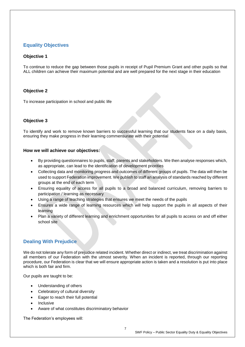# <span id="page-6-0"></span>**Equality Objectives**

#### <span id="page-6-1"></span>**Objective 1**

To continue to reduce the gap between those pupils in receipt of Pupil Premium Grant and other pupils so that ALL children can achieve their maximum potential and are well prepared for the next stage in their education

#### <span id="page-6-2"></span>**Objective 2**

To increase participation in school and public life

#### <span id="page-6-3"></span>**Objective 3**

To identify and work to remove known barriers to successful learning that our students face on a daily basis, ensuring they make progress in their learning commensurate with their potential

#### <span id="page-6-4"></span>**How we will achieve our objectives:**

- By providing questionnaires to pupils, staff, parents and stakeholders. We then analyse responses which, as appropriate, can lead to the identification of development priorities
- Collecting data and monitoring progress and outcomes of different groups of pupils. The data will then be used to support Federation improvement. We publish to staff an analysis of standards reached by different groups at the end of each term
- Ensuring equality of access for all pupils to a broad and balanced curriculum, removing barriers to participation / learning as necessary
- Using a range of teaching strategies that ensures we meet the needs of the pupils
- Ensures a wide range of learning resources which will help support the pupils in all aspects of their learning
- Plan a variety of different learning and enrichment opportunities for all pupils to access on and off either school site

## <span id="page-6-5"></span>**Dealing With Prejudice**

We do not tolerate any form of prejudice related incident. Whether direct or indirect, we treat discrimination against all members of our Federation with the utmost severity. When an incident is reported, through our reporting procedure, our Federation is clear that we will ensure appropriate action is taken and a resolution is put into place which is both fair and firm.

Our pupils are taught to be:

- Understanding of others
- Celebratory of cultural diversity
- Eager to reach their full potential
- **Inclusive**
- Aware of what constitutes discriminatory behavior

The Federation's employees will: